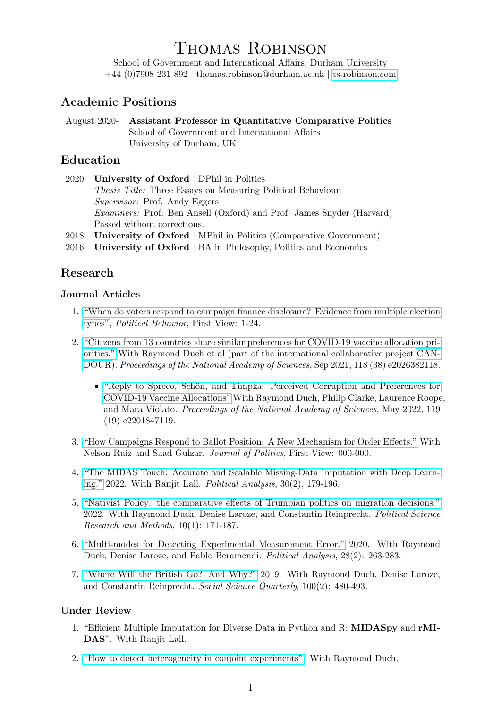# Thomas Robinson

School of Government and International Affairs, Durham University +44 (0)7908 231 892 | thomas.robinson@durham.ac.uk | [ts-robinson.com](https://ts-robinson.com)

## Academic Positions

| August 2020- Assistant Professor in Quantitative Comparative Politics |
|-----------------------------------------------------------------------|
| School of Government and International Affairs                        |
| University of Durham, UK                                              |

## Education

| 2020                                                                                                                 | University of Oxford   DPhil in Politics                           |  |
|----------------------------------------------------------------------------------------------------------------------|--------------------------------------------------------------------|--|
|                                                                                                                      | <i>Thesis Title:</i> Three Essays on Measuring Political Behaviour |  |
| <i>Supervisor:</i> Prof. Andy Eggers<br><i>Examiners:</i> Prof. Ben Ansell (Oxford) and Prof. James Snyder (Harvard) |                                                                    |  |
|                                                                                                                      |                                                                    |  |
| 2018                                                                                                                 | University of Oxford   MPhil in Politics (Comparative Government)  |  |

2016 University of Oxford | BA in Philosophy, Politics and Economics

## Research

### Journal Articles

- 1. ["When do voters respond to campaign finance disclosure? Evidence from multiple election](https://doi.org/10.1007/s11109-021-09766-y) [types",](https://doi.org/10.1007/s11109-021-09766-y) Political Behavior, First View: 1-24.
- 2. ["Citizens from 13 countries share similar preferences for COVID-19 vaccine allocation pri](https://doi.org/10.1073/pnas.2026382118 )[orities."](https://doi.org/10.1073/pnas.2026382118 ) With Raymond Duch et al (part of the international collaborative project [CAN-](https://oxford-candour.com/)[DOUR\)](https://oxford-candour.com/). Proceedings of the National Academy of Sciences, Sep 2021, 118 (38) e2026382118.
	- "Reply to Spreco, Schön, and Timpka: Perceived Corruption and Preferences for [COVID-19 Vaccine Allocations"](https://doi.org/10.1073/pnas.2201847119) With Raymond Duch, Philip Clarke, Laurence Roope, and Mara Violato. Proceedings of the National Academy of Sciences, May 2022, 119 (19) e2201847119.
- 3. ["How Campaigns Respond to Ballot Position: A New Mechanism for Order Effects."](https://doi.org/10.1086/715594) With Nelson Ruiz and Saad Gulzar. Journal of Politics, First View: 000-000.
- 4. ["The MIDAS Touch: Accurate and Scalable Missing-Data Imputation with Deep Learn](https://doi.org/10.1017/pan.2020.49)[ing."](https://doi.org/10.1017/pan.2020.49) 2022. With Ranjit Lall. Political Analysis, 30(2), 179-196.
- 5. ["Nativist Policy: the comparative effects of Trumpian politics on migration decisions."](https://doi.org/10.1017/psrm.2020.33) 2022. With Raymond Duch, Denise Laroze, and Constantin Reinprecht. Political Science Research and Methods, 10(1): 171-187.
- 6. ["Multi-modes for Detecting Experimental Measurement Error."](https://www.cambridge.org/core/journals/political-analysis/article/multimodes-for-detecting-experimental-measurement-error/37514FC46CF29C7B345DB9881E252150/share/7b059037b0da9182a33316d7f87b2de81b619592) 2020. With Raymond Duch, Denise Laroze, and Pablo Beramendi. Political Analysis, 28(2): 263-283.
- 7. ["Where Will the British Go? And Why?"](https://doi.org/10.1111/ssqu.12584) 2019. With Raymond Duch, Denise Laroze, and Constantin Reinprecht. Social Science Quarterly, 100(2): 480-493.

### Under Review

- 1. "Efficient Multiple Imputation for Diverse Data in Python and R: MIDASpy and rMI-DAS". With Ranjit Lall.
- 2. ["How to detect heterogeneity in conjoint experiments".](https://ts-robinson.com/publication/robinson-conjoint-2021/robinson-conjoint-2021.pdf) With Raymond Duch.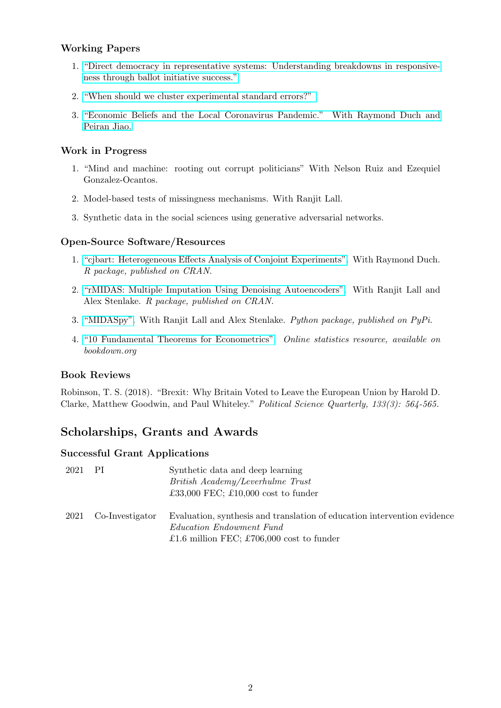### Working Papers

- 1. ["Direct democracy in representative systems: Understanding breakdowns in responsive](https://ts-robinson.com/publication/robinson-directdemocracyrepresentative-2021/robinson-directdemocracyrepresentative-2021.pdf)[ness through ballot initiative success."](https://ts-robinson.com/publication/robinson-directdemocracyrepresentative-2021/robinson-directdemocracyrepresentative-2021.pdf)
- 2. ["When should we cluster experimental standard errors?"](https://ts-robinson.com/publication/robinson-whenshouldwe-2020/robinson-whenshouldwe-2020.pdf)
- 3. ["Economic Beliefs and the Local Coronavirus Pandemic." With Raymond Duch and](https://papers.ssrn.com/sol3/papers.cfm?abstract_id=3948756) [Peiran Jiao.](https://papers.ssrn.com/sol3/papers.cfm?abstract_id=3948756)

### Work in Progress

- 1. "Mind and machine: rooting out corrupt politicians" With Nelson Ruiz and Ezequiel Gonzalez-Ocantos.
- 2. Model-based tests of missingness mechanisms. With Ranjit Lall.
- 3. Synthetic data in the social sciences using generative adversarial networks.

### Open-Source Software/Resources

- 1. ["cjbart: Heterogeneous Effects Analysis of Conjoint Experiments".](https://CRAN.R-project.org/package=cjbart) With Raymond Duch. R package, published on CRAN.
- 2. ["rMIDAS: Multiple Imputation Using Denoising Autoencoders".](https://CRAN.R-project.org/package=rMIDAS) With Ranjit Lall and Alex Stenlake. R package, published on CRAN.
- 3. ["MIDASpy".](https://pypi.org/project/MIDASpy/) With Ranjit Lall and Alex Stenlake. Puthon package, published on  $PuPi$ .
- 4. ["10 Fundamental Theorems for Econometrics".](https://bookdown.org/ts_robinson1994/10EconometricTheorems/) Online statistics resource, available on bookdown.org

### Book Reviews

Robinson, T. S. (2018). "Brexit: Why Britain Voted to Leave the European Union by Harold D. Clarke, Matthew Goodwin, and Paul Whiteley." Political Science Quarterly, 133(3): 564-565.

## Scholarships, Grants and Awards

#### Successful Grant Applications

| 2021 | -PI             | Synthetic data and deep learning                                             |
|------|-----------------|------------------------------------------------------------------------------|
|      |                 | British Academy/Leverhulme Trust                                             |
|      |                 | £33,000 FEC; £10,000 cost to funder                                          |
| 2021 | Co-Investigator | Evaluation, synthesis and translation of education intervention evidence     |
|      |                 | <i>Education Endowment Fund</i><br>£1.6 million FEC; £706,000 cost to funder |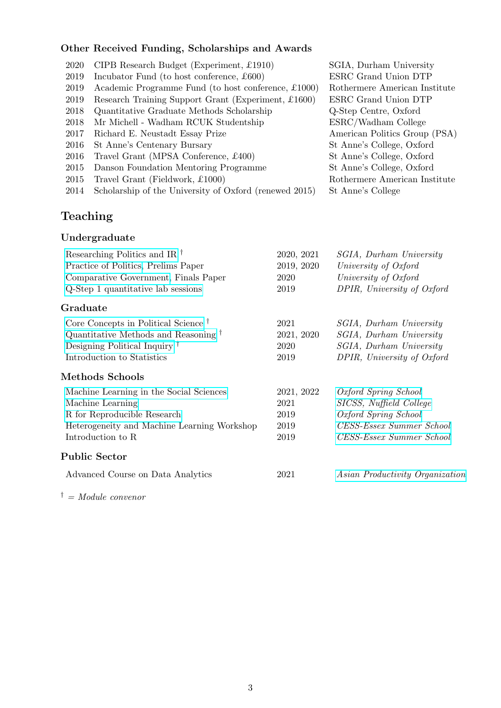# Other Received Funding, Scholarships and Awards

| 2020 | CIPB Research Budget (Experiment, $£1910$ )            | SGIA, Durham University       |
|------|--------------------------------------------------------|-------------------------------|
| 2019 | Incubator Fund (to host conference, $£600)$            | ESRC Grand Union DTP          |
| 2019 | Academic Programme Fund (to host conference, £1000)    | Rothermere American Institute |
| 2019 | Research Training Support Grant (Experiment, £1600)    | ESRC Grand Union DTP          |
| 2018 | Quantitative Graduate Methods Scholarship              | Q-Step Centre, Oxford         |
| 2018 | Mr Michell - Wadham RCUK Studentship                   | ESRC/Wadham College           |
| 2017 | Richard E. Neustadt Essay Prize                        | American Politics Group (PSA) |
| 2016 | St Anne's Centenary Bursary                            | St Anne's College, Oxford     |
| 2016 | Travel Grant (MPSA Conference, £400)                   | St Anne's College, Oxford     |
| 2015 | Danson Foundation Mentoring Programme                  | St Anne's College, Oxford     |
| 2015 | Travel Grant (Fieldwork, £1000)                        | Rothermere American Institute |
| 2014 | Scholarship of the University of Oxford (renewed 2015) | St Anne's College             |

## Teaching

## Undergraduate

| Researching Politics and IR <sup><math>\dagger</math></sup> | 2020, 2021 | SGIA, Durham University                |
|-------------------------------------------------------------|------------|----------------------------------------|
| Practice of Politics, Prelims Paper                         | 2019, 2020 | University of Oxford                   |
| Comparative Government, Finals Paper                        | 2020       | University of Oxford                   |
| Q-Step 1 quantitative lab sessions                          | 2019       | DPIR, University of Oxford             |
| $\operatorname{Graduate}$                                   |            |                                        |
| Core Concepts in Political Science <sup>†</sup>             | 2021       | <i>SGIA</i> , <i>Durham University</i> |
| Quantitative Methods and Reasoning <sup>†</sup>             | 2021, 2020 | SGIA, Durham University                |
| Designing Political Inquiry $^{\dagger}$                    | 2020       | SGIA, Durham University                |
| Introduction to Statistics                                  | 2019       | DPIR, University of Oxford             |
| Methods Schools                                             |            |                                        |
| Machine Learning in the Social Sciences                     | 2021, 2022 | Oxford Spring School                   |
| Machine Learning                                            | 2021       | SICSS, Nuffield College                |
| R for Reproducible Research                                 | 2019       | Oxford Spring School                   |
| Heterogeneity and Machine Learning Workshop                 | 2019       | CESS-Essex Summer School               |
| Introduction to R                                           | 2019       | CESS-Essex Summer School               |
| <b>Public Sector</b>                                        |            |                                        |
| Advanced Course on Data Analytics                           | 2021       | Asian Productivity Organization        |
|                                                             |            |                                        |

 $\mathcal{N} = Module \; converges$